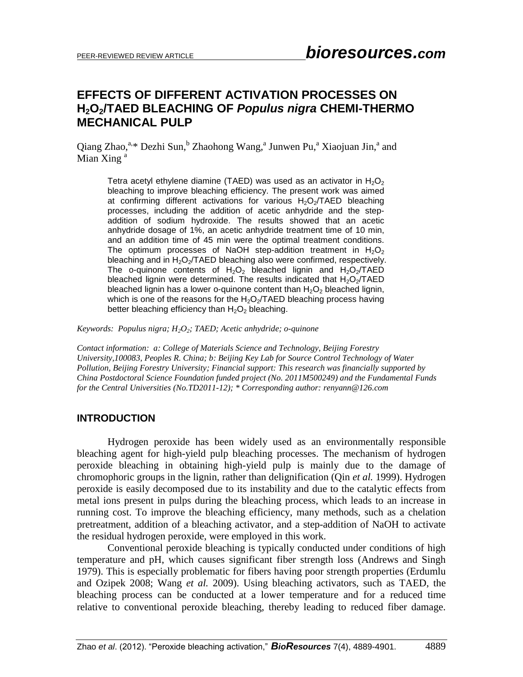# **EFFECTS OF DIFFERENT ACTIVATION PROCESSES ON H2O2/TAED BLEACHING OF** *Populus nigra* **CHEMI-THERMO MECHANICAL PULP**

Qiang Zhao,<sup>a,\*</sup> Dezhi Sun,<sup>b</sup> Zhaohong Wang,<sup>a</sup> Junwen Pu,<sup>a</sup> Xiaojuan Jin,<sup>a</sup> and Mian Xing<sup>a</sup>

Tetra acetyl ethylene diamine (TAED) was used as an activator in  $H_2O_2$ bleaching to improve bleaching efficiency. The present work was aimed at confirming different activations for various  $H_2O_2/TAED$  bleaching processes, including the addition of acetic anhydride and the stepaddition of sodium hydroxide. The results showed that an acetic anhydride dosage of 1%, an acetic anhydride treatment time of 10 min, and an addition time of 45 min were the optimal treatment conditions. The optimum processes of NaOH step-addition treatment in  $H_2O_2$ bleaching and in  $H_2O_2/TAED$  bleaching also were confirmed, respectively. The o-quinone contents of  $H_2O_2$  bleached lignin and  $H_2O_2/TAED$ bleached lignin were determined. The results indicated that  $H_2O_2/TAED$ bleached lignin has a lower o-quinone content than  $H_2O_2$  bleached lignin, which is one of the reasons for the  $H_2O_2/TAED$  bleaching process having better bleaching efficiency than  $H_2O_2$  bleaching.

*Keywords: Populus nigra; H2O2; TAED; Acetic anhydride; o-quinone*

*Contact information: a: College of Materials Science and Technology, Beijing Forestry University,100083, Peoples R. China; b: Beijing Key Lab for Source Control Technology of Water Pollution, Beijing Forestry University; Financial support: This research was financially supported by China Postdoctoral Science Foundation funded project (No. 2011M500249) and the Fundamental Funds for the Central Universities (No.TD2011-12); \* Corresponding author: renyann@126.com*

### **INTRODUCTION**

Hydrogen peroxide has been widely used as an environmentally responsible bleaching agent for high-yield pulp bleaching processes. The mechanism of hydrogen peroxide bleaching in obtaining high-yield pulp is mainly due to the damage of chromophoric groups in the lignin, rather than delignification (Qin *et al.* 1999). Hydrogen peroxide is easily decomposed due to its instability and due to the catalytic effects from metal ions present in pulps during the bleaching process, which leads to an increase in running cost. To improve the bleaching efficiency, many methods, such as a chelation pretreatment, addition of a bleaching activator, and a step-addition of NaOH to activate the residual hydrogen peroxide, were employed in this work.

Conventional peroxide bleaching is typically conducted under conditions of high temperature and pH, which causes significant fiber strength loss (Andrews and Singh 1979). This is especially problematic for fibers having poor strength properties (Erdumlu and Ozipek 2008; Wang *et al.* 2009). Using bleaching activators, such as TAED, the bleaching process can be conducted at a lower temperature and for a reduced time relative to conventional peroxide bleaching, thereby leading to reduced fiber damage.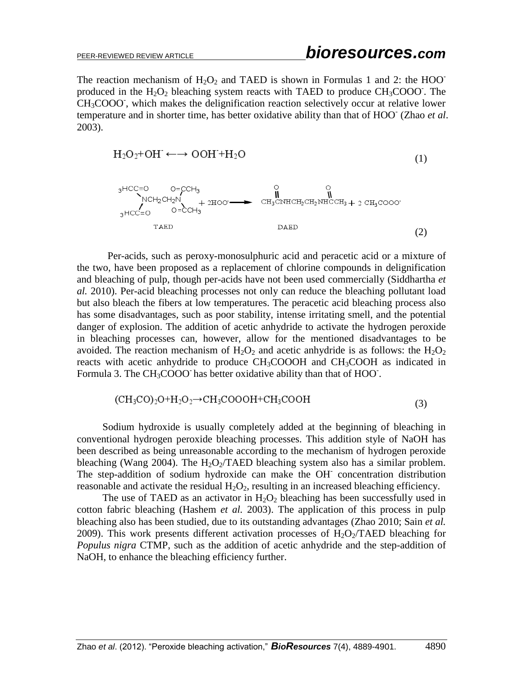The reaction mechanism of  $H_2O_2$  and TAED is shown in Formulas 1 and 2: the HOO<sup>-</sup> produced in the  $H_2O_2$  bleaching system reacts with TAED to produce CH<sub>3</sub>COOO. The  $CH<sub>3</sub>COOO$ , which makes the delignification reaction selectively occur at relative lower temperature and in shorter time, has better oxidative ability than that of HOO- (Zhao *et al*. 2003).

$$
H_2O_2 + OH^{\cdot} \longleftrightarrow OOH^{\cdot} + H_2O \tag{1}
$$



Per-acids, such as peroxy-monosulphuric acid and peracetic acid or a mixture of the two, have been proposed as a replacement of chlorine compounds in delignification and bleaching of pulp, though per-acids have not been used commercially (Siddhartha *et al.* 2010). Per-acid bleaching processes not only can reduce the bleaching pollutant load but also bleach the fibers at low temperatures. The peracetic acid bleaching process also has some disadvantages, such as poor stability, intense irritating smell, and the potential danger of explosion. The addition of acetic anhydride to activate the hydrogen peroxide in bleaching processes can, however, allow for the mentioned disadvantages to be avoided. The reaction mechanism of  $H_2O_2$  and acetic anhydride is as follows: the  $H_2O_2$ reacts with acetic anhydride to produce CH<sub>3</sub>COOOH and CH<sub>3</sub>COOH as indicated in Formula 3. The CH<sub>3</sub>COOO has better oxidative ability than that of HOO.

$$
(CH3CO)2O+H2O2 \rightarrow CH3COOOH+CH3COOH
$$
\n(3)

Sodium hydroxide is usually completely added at the beginning of bleaching in conventional hydrogen peroxide bleaching processes. This addition style of NaOH has been described as being unreasonable according to the mechanism of hydrogen peroxide bleaching (Wang 2004). The  $H_2O_2/TAED$  bleaching system also has a similar problem. The step-addition of sodium hydroxide can make the OH<sup>-</sup> concentration distribution reasonable and activate the residual  $H_2O_2$ , resulting in an increased bleaching efficiency.

The use of TAED as an activator in  $H_2O_2$  bleaching has been successfully used in cotton fabric bleaching (Hashem *et al.* 2003). The application of this process in pulp bleaching also has been studied, due to its outstanding advantages (Zhao 2010; Sain *et al.* 2009). This work presents different activation processes of  $H_2O_2/TAED$  bleaching for *Populus nigra* CTMP, such as the addition of acetic anhydride and the step-addition of NaOH, to enhance the bleaching efficiency further.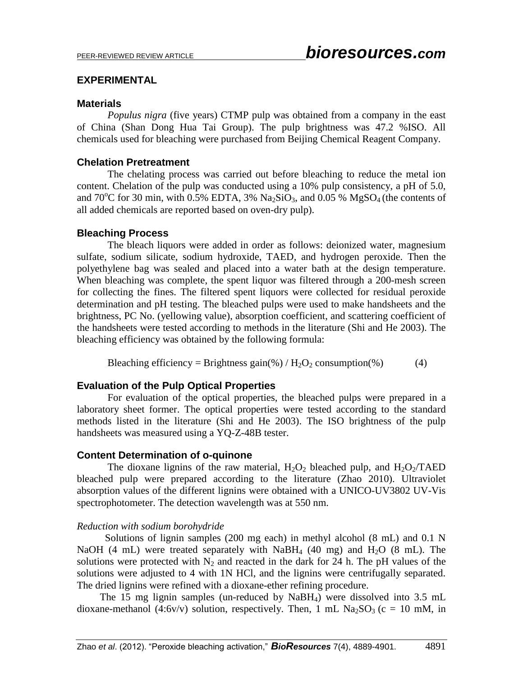### **EXPERIMENTAL**

### **Materials**

*Populus nigra* (five years) CTMP pulp was obtained from a company in the east of China (Shan Dong Hua Tai Group). The pulp brightness was 47.2 %ISO. All chemicals used for bleaching were purchased from Beijing Chemical Reagent Company.

# **Chelation Pretreatment**

The chelating process was carried out before bleaching to reduce the metal ion content. Chelation of the pulp was conducted using a 10% pulp consistency, a pH of 5.0, and  $70^{\circ}$ C for 30 min, with 0.5% EDTA, 3% Na<sub>2</sub>SiO<sub>3</sub>, and 0.05 % MgSO<sub>4</sub> (the contents of all added chemicals are reported based on oven-dry pulp).

# **Bleaching Process**

The bleach liquors were added in order as follows: deionized water, magnesium sulfate, sodium silicate, sodium hydroxide, TAED, and hydrogen peroxide. Then the polyethylene bag was sealed and placed into a water bath at the design temperature. When bleaching was complete, the spent liquor was filtered through a 200-mesh screen for collecting the fines. The filtered spent liquors were collected for residual peroxide determination and pH testing. The bleached pulps were used to make handsheets and the brightness, PC No. (yellowing value), absorption coefficient, and scattering coefficient of the handsheets were tested according to methods in the literature (Shi and He 2003). The bleaching efficiency was obtained by the following formula:

Bleaching efficiency = Brightness gain(%) /  $H_2O_2$  consumption(%) (4)

# **Evaluation of the Pulp Optical Properties**

For evaluation of the optical properties, the bleached pulps were prepared in a laboratory sheet former. The optical properties were tested according to the standard methods listed in the literature (Shi and He 2003). The ISO brightness of the pulp handsheets was measured using a YQ-Z-48B tester.

### **Content Determination of o-quinone**

The dioxane lignins of the raw material,  $H_2O_2$  bleached pulp, and  $H_2O_2/TAED$ bleached pulp were prepared according to the literature (Zhao 2010). Ultraviolet absorption values of the different lignins were obtained with a UNICO-UV3802 UV-Vis spectrophotometer. The detection wavelength was at 550 nm.

### *Reduction with sodium borohydride*

 Solutions of lignin samples (200 mg each) in methyl alcohol (8 mL) and 0.1 N NaOH (4 mL) were treated separately with NaBH<sub>4</sub> (40 mg) and H<sub>2</sub>O (8 mL). The solutions were protected with  $N_2$  and reacted in the dark for 24 h. The pH values of the solutions were adjusted to 4 with 1N HCl, and the lignins were centrifugally separated. The dried lignins were refined with a dioxane-ether refining procedure.

 The 15 mg lignin samples (un-reduced by NaBH4) were dissolved into 3.5 mL dioxane-methanol (4:6v/v) solution, respectively. Then, 1 mL Na<sub>2</sub>SO<sub>3</sub> (c = 10 mM, in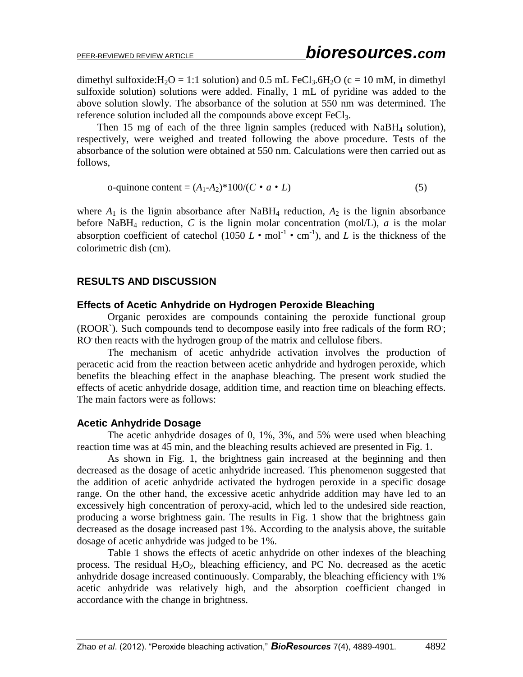dimethyl sulfoxide: $H_2O = 1:1$  solution) and 0.5 mL FeCl<sub>3</sub>.6H<sub>2</sub>O (c = 10 mM, in dimethyl sulfoxide solution) solutions were added. Finally, 1 mL of pyridine was added to the above solution slowly. The absorbance of the solution at 550 nm was determined. The reference solution included all the compounds above except FeCl<sub>3</sub>.

Then 15 mg of each of the three lignin samples (reduced with NaBH<sub>4</sub> solution), respectively, were weighed and treated following the above procedure. Tests of the absorbance of the solution were obtained at 550 nm. Calculations were then carried out as follows,

o-quinone content = 
$$
(A_1 - A_2)^* 100 / (C \cdot a \cdot L)
$$
 (5)

where  $A_1$  is the lignin absorbance after NaBH<sub>4</sub> reduction,  $A_2$  is the lignin absorbance before NaBH<sub>4</sub> reduction,  $C$  is the lignin molar concentration (mol/L),  $a$  is the molar absorption coefficient of catechol  $(1050 L \cdot \text{mol}^{-1} \cdot \text{cm}^{-1})$ , and *L* is the thickness of the colorimetric dish (cm).

# **RESULTS AND DISCUSSION**

### **Effects of Acetic Anhydride on Hydrogen Peroxide Bleaching**

Organic peroxides are compounds containing the peroxide functional group (ROOR`). Such compounds tend to decompose easily into free radicals of the form RO. ; RO then reacts with the hydrogen group of the matrix and cellulose fibers.

The mechanism of acetic anhydride activation involves the production of peracetic acid from the reaction between acetic anhydride and hydrogen peroxide, which benefits the bleaching effect in the anaphase bleaching. The present work studied the effects of acetic anhydride dosage, addition time, and reaction time on bleaching effects. The main factors were as follows:

### **Acetic Anhydride Dosage**

The acetic anhydride dosages of 0, 1%, 3%, and 5% were used when bleaching reaction time was at 45 min, and the bleaching results achieved are presented in Fig. 1.

As shown in Fig. 1, the brightness gain increased at the beginning and then decreased as the dosage of acetic anhydride increased. This phenomenon suggested that the addition of acetic anhydride activated the hydrogen peroxide in a specific dosage range. On the other hand, the excessive acetic anhydride addition may have led to an excessively high concentration of peroxy-acid, which led to the undesired side reaction, producing a worse brightness gain. The results in Fig. 1 show that the brightness gain decreased as the dosage increased past 1%. According to the analysis above, the suitable dosage of acetic anhydride was judged to be 1%.

Table 1 shows the effects of acetic anhydride on other indexes of the bleaching process. The residual  $H_2O_2$ , bleaching efficiency, and PC No. decreased as the acetic anhydride dosage increased continuously. Comparably, the bleaching efficiency with 1% acetic anhydride was relatively high, and the absorption coefficient changed in accordance with the change in brightness.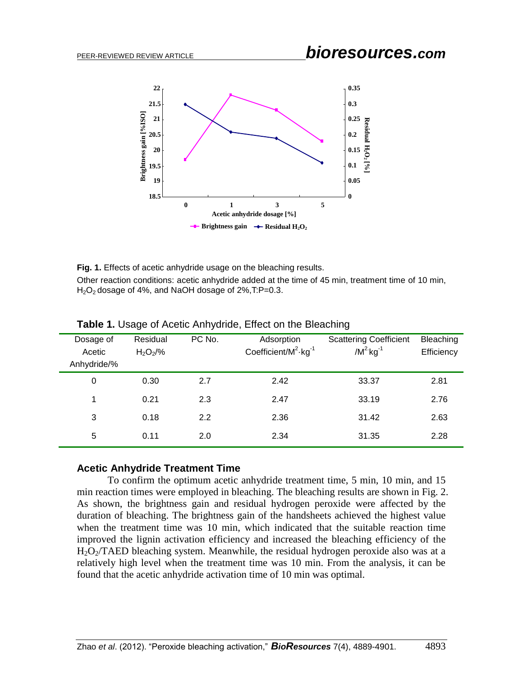# PEER-REVIEWED REVIEW ARTICLE *bioresources.com*



**Fig. 1.** Effects of acetic anhydride usage on the bleaching results. Other reaction conditions: acetic anhydride added at the time of 45 min, treatment time of 10 min,  $H<sub>2</sub>O<sub>2</sub>$  dosage of 4%, and NaOH dosage of 2%, T:P=0.3.

| Dosage of<br>Acetic<br>Anhydride/% | Residual<br>$H_2O_2/\%$ | PC No. | Adsorption<br>Coefficient/ $M^2$ ·kg <sup>-1</sup> | <b>Scattering Coefficient</b><br>$/M^2$ kg <sup>-1</sup> | Bleaching<br>Efficiency |
|------------------------------------|-------------------------|--------|----------------------------------------------------|----------------------------------------------------------|-------------------------|
| 0                                  | 0.30                    | 2.7    | 2.42                                               | 33.37                                                    | 2.81                    |
| 1                                  | 0.21                    | 2.3    | 2.47                                               | 33.19                                                    | 2.76                    |
| 3                                  | 0.18                    | 2.2    | 2.36                                               | 31.42                                                    | 2.63                    |
| 5                                  | 0.11                    | 2.0    | 2.34                                               | 31.35                                                    | 2.28                    |

**Table 1.** Usage of Acetic Anhydride, Effect on the Bleaching

### **Acetic Anhydride Treatment Time**

To confirm the optimum acetic anhydride treatment time, 5 min, 10 min, and 15 min reaction times were employed in bleaching. The bleaching results are shown in Fig. 2. As shown, the brightness gain and residual hydrogen peroxide were affected by the duration of bleaching. The brightness gain of the handsheets achieved the highest value when the treatment time was 10 min, which indicated that the suitable reaction time improved the lignin activation efficiency and increased the bleaching efficiency of the  $H_2O_2/TAED$  bleaching system. Meanwhile, the residual hydrogen peroxide also was at a relatively high level when the treatment time was 10 min. From the analysis, it can be found that the acetic anhydride activation time of 10 min was optimal.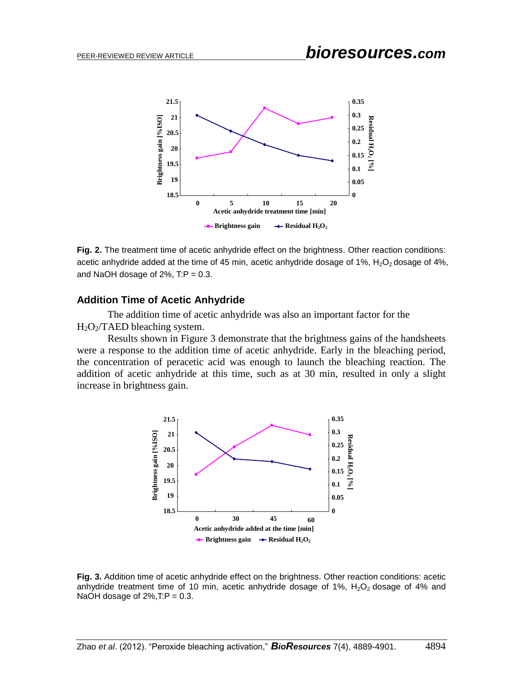

**Fig. 2.** The treatment time of acetic anhydride effect on the brightness. Other reaction conditions: acetic anhydride added at the time of 45 min, acetic anhydride dosage of 1%,  $H_2O_2$  dosage of 4%, and NaOH dosage of  $2\%$ , T:P = 0.3.

#### **Addition Time of Acetic Anhydride**

The addition time of acetic anhydride was also an important factor for the  $H_2O_2/TAED$  bleaching system.

Results shown in Figure 3 demonstrate that the brightness gains of the handsheets were a response to the addition time of acetic anhydride. Early in the bleaching period, the concentration of peracetic acid was enough to launch the bleaching reaction. The addition of acetic anhydride at this time, such as at 30 min, resulted in only a slight increase in brightness gain.



**Fig. 3.** Addition time of acetic anhydride effect on the brightness. Other reaction conditions: acetic anhydride treatment time of 10 min, acetic anhydride dosage of 1%,  $H_2O_2$  dosage of 4% and NaOH dosage of  $2\%, T: P = 0.3$ .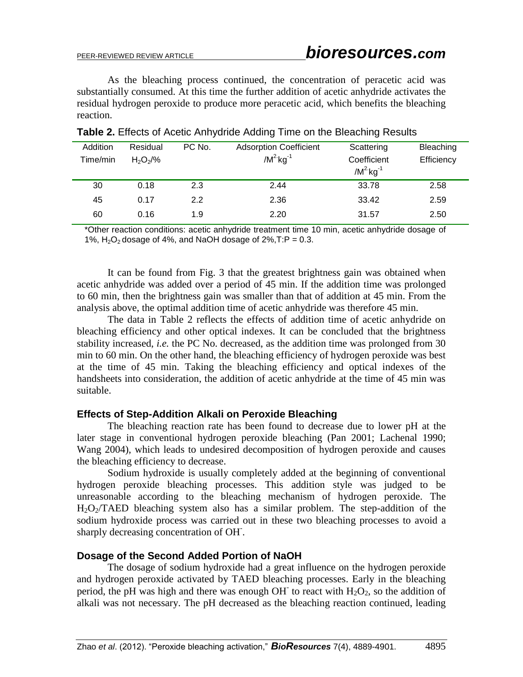As the bleaching process continued, the concentration of peracetic acid was substantially consumed. At this time the further addition of acetic anhydride activates the residual hydrogen peroxide to produce more peracetic acid, which benefits the bleaching reaction.

| Addition<br>Time/min | Residual<br>$H_2O_2/\%$ | PC No.        | <b>Adsorption Coefficient</b><br>$/M^2$ kg <sup>-1</sup> | Scattering<br>Coefficient<br>$/M^2$ kg <sup>-1</sup> | Bleaching<br>Efficiency |
|----------------------|-------------------------|---------------|----------------------------------------------------------|------------------------------------------------------|-------------------------|
| 30                   | 0.18                    | 2.3           | 2.44                                                     | 33.78                                                | 2.58                    |
| 45                   | 0.17                    | $2.2^{\circ}$ | 2.36                                                     | 33.42                                                | 2.59                    |
| 60                   | 0.16                    | 1.9           | 2.20                                                     | 31.57                                                | 2.50                    |

### **Table 2.** Effects of Acetic Anhydride Adding Time on the Bleaching Results

\*Other reaction conditions: acetic anhydride treatment time 10 min, acetic anhydride dosage of 1%,  $H_2O_2$  dosage of 4%, and NaOH dosage of 2%, T:P = 0.3.

It can be found from Fig. 3 that the greatest brightness gain was obtained when acetic anhydride was added over a period of 45 min. If the addition time was prolonged to 60 min, then the brightness gain was smaller than that of addition at 45 min. From the analysis above, the optimal addition time of acetic anhydride was therefore 45 min.

The data in Table 2 reflects the effects of addition time of acetic anhydride on bleaching efficiency and other optical indexes. It can be concluded that the brightness stability increased, *i.e.* the PC No. decreased, as the addition time was prolonged from 30 min to 60 min. On the other hand, the bleaching efficiency of hydrogen peroxide was best at the time of 45 min. Taking the bleaching efficiency and optical indexes of the handsheets into consideration, the addition of acetic anhydride at the time of 45 min was suitable.

# **Effects of Step-Addition Alkali on Peroxide Bleaching**

The bleaching reaction rate has been found to decrease due to lower pH at the later stage in conventional hydrogen peroxide bleaching (Pan 2001; Lachenal 1990; Wang 2004), which leads to undesired decomposition of hydrogen peroxide and causes the bleaching efficiency to decrease.

Sodium hydroxide is usually completely added at the beginning of conventional hydrogen peroxide bleaching processes. This addition style was judged to be unreasonable according to the bleaching mechanism of hydrogen peroxide. The  $H_2O_2/TAED$  bleaching system also has a similar problem. The step-addition of the sodium hydroxide process was carried out in these two bleaching processes to avoid a sharply decreasing concentration of OH- .

# **Dosage of the Second Added Portion of NaOH**

The dosage of sodium hydroxide had a great influence on the hydrogen peroxide and hydrogen peroxide activated by TAED bleaching processes. Early in the bleaching period, the pH was high and there was enough OH to react with  $H_2O_2$ , so the addition of alkali was not necessary. The pH decreased as the bleaching reaction continued, leading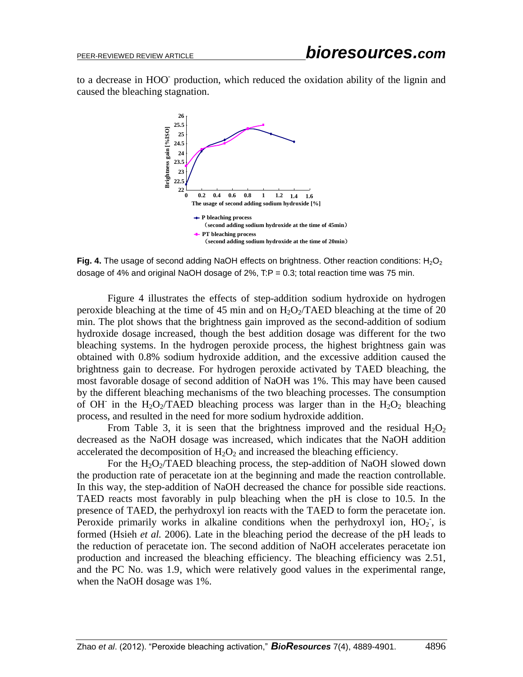to a decrease in HOO<sup>-</sup> production, which reduced the oxidation ability of the lignin and caused the bleaching stagnation.



**Fig. 4.** The usage of second adding NaOH effects on brightness. Other reaction conditions: H<sub>2</sub>O<sub>2</sub> dosage of 4% and original NaOH dosage of  $2\%$ , T:P = 0.3; total reaction time was 75 min.

Figure 4 illustrates the effects of step-addition sodium hydroxide on hydrogen peroxide bleaching at the time of 45 min and on  $H_2O_2/TAED$  bleaching at the time of 20 min. The plot shows that the brightness gain improved as the second-addition of sodium hydroxide dosage increased, though the best addition dosage was different for the two bleaching systems. In the hydrogen peroxide process, the highest brightness gain was obtained with 0.8% sodium hydroxide addition, and the excessive addition caused the brightness gain to decrease. For hydrogen peroxide activated by TAED bleaching, the most favorable dosage of second addition of NaOH was 1%. This may have been caused by the different bleaching mechanisms of the two bleaching processes. The consumption of OH<sup>-</sup> in the H<sub>2</sub>O<sub>2</sub>/TAED bleaching process was larger than in the H<sub>2</sub>O<sub>2</sub> bleaching process, and resulted in the need for more sodium hydroxide addition.

From Table 3, it is seen that the brightness improved and the residual  $H_2O_2$ decreased as the NaOH dosage was increased, which indicates that the NaOH addition accelerated the decomposition of  $H_2O_2$  and increased the bleaching efficiency.

For the  $H_2O_2/TAED$  bleaching process, the step-addition of NaOH slowed down the production rate of peracetate ion at the beginning and made the reaction controllable. In this way, the step-addition of NaOH decreased the chance for possible side reactions. TAED reacts most favorably in pulp bleaching when the pH is close to 10.5. In the presence of TAED, the perhydroxyl ion reacts with the TAED to form the peracetate ion. Peroxide primarily works in alkaline conditions when the perhydroxyl ion,  $HO_2$ , is formed (Hsieh *et al.* 2006). Late in the bleaching period the decrease of the pH leads to the reduction of peracetate ion. The second addition of NaOH accelerates peracetate ion production and increased the bleaching efficiency. The bleaching efficiency was 2.51, and the PC No. was 1.9, which were relatively good values in the experimental range, when the NaOH dosage was 1%.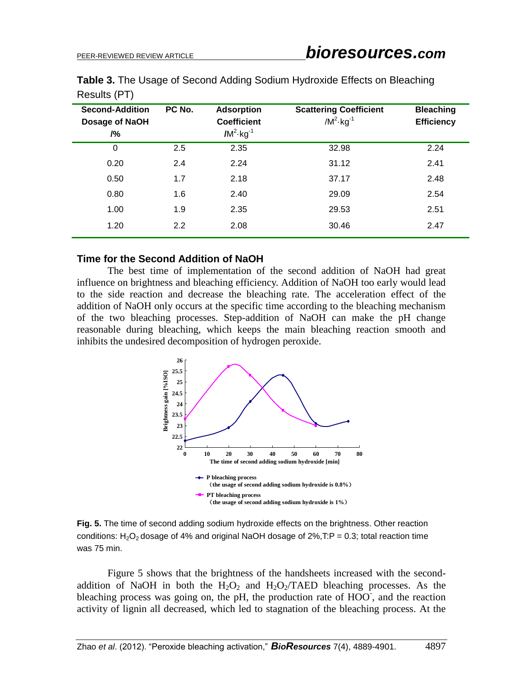| <b>Second-Addition</b><br>Dosage of NaOH<br>/2 <sub>0</sub> | PC No. | <b>Adsorption</b><br><b>Coefficient</b><br>$/M^2$ kg <sup>-1</sup> | <b>Scattering Coefficient</b><br>$/M^2$ kg <sup>-1</sup> | <b>Bleaching</b><br><b>Efficiency</b> |
|-------------------------------------------------------------|--------|--------------------------------------------------------------------|----------------------------------------------------------|---------------------------------------|
| $\mathbf 0$                                                 | 2.5    | 2.35                                                               | 32.98                                                    | 2.24                                  |
| 0.20                                                        | 2.4    | 2.24                                                               | 31.12                                                    | 2.41                                  |
| 0.50                                                        | 1.7    | 2.18                                                               | 37.17                                                    | 2.48                                  |
| 0.80                                                        | 1.6    | 2.40                                                               | 29.09                                                    | 2.54                                  |
| 1.00                                                        | 1.9    | 2.35                                                               | 29.53                                                    | 2.51                                  |
| 1.20                                                        | 2.2    | 2.08                                                               | 30.46                                                    | 2.47                                  |
|                                                             |        |                                                                    |                                                          |                                       |

**Table 3.** The Usage of Second Adding Sodium Hydroxide Effects on Bleaching Results (PT)

### **Time for the Second Addition of NaOH**

The best time of implementation of the second addition of NaOH had great influence on brightness and bleaching efficiency. Addition of NaOH too early would lead to the side reaction and decrease the bleaching rate. The acceleration effect of the addition of NaOH only occurs at the specific time according to the bleaching mechanism of the two bleaching processes. Step-addition of NaOH can make the pH change reasonable during bleaching, which keeps the main bleaching reaction smooth and inhibits the undesired decomposition of hydrogen peroxide.



**Fig. 5.** The time of second adding sodium hydroxide effects on the brightness. Other reaction conditions:  $H_2O_2$  dosage of 4% and original NaOH dosage of 2%, T:P = 0.3; total reaction time was 75 min.

Figure 5 shows that the brightness of the handsheets increased with the secondaddition of NaOH in both the  $H_2O_2$  and  $H_2O_2/TAED$  bleaching processes. As the bleaching process was going on, the pH, the production rate of  $HOO<sup>-</sup>$ , and the reaction activity of lignin all decreased, which led to stagnation of the bleaching process. At the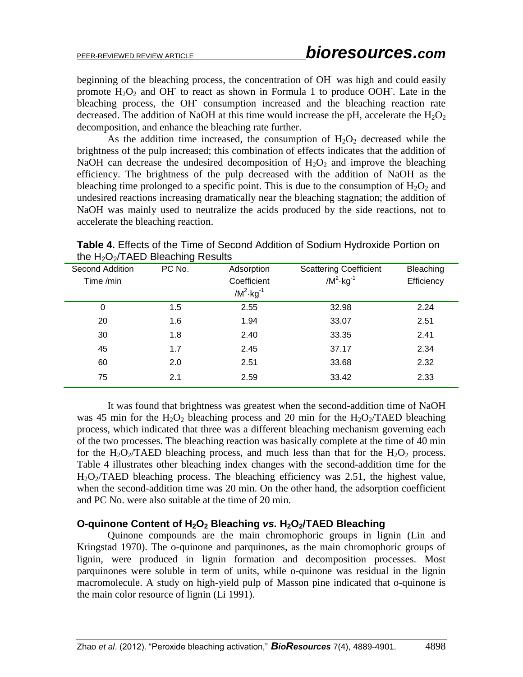beginning of the bleaching process, the concentration of OH- was high and could easily promote  $H_2O_2$  and OH to react as shown in Formula 1 to produce OOH. Late in the bleaching process, the OH<sup>-</sup> consumption increased and the bleaching reaction rate decreased. The addition of NaOH at this time would increase the pH, accelerate the  $H_2O_2$ decomposition, and enhance the bleaching rate further.

As the addition time increased, the consumption of  $H_2O_2$  decreased while the brightness of the pulp increased; this combination of effects indicates that the addition of NaOH can decrease the undesired decomposition of  $H_2O_2$  and improve the bleaching efficiency. The brightness of the pulp decreased with the addition of NaOH as the bleaching time prolonged to a specific point. This is due to the consumption of  $H_2O_2$  and undesired reactions increasing dramatically near the bleaching stagnation; the addition of NaOH was mainly used to neutralize the acids produced by the side reactions, not to accelerate the bleaching reaction.

|                 | ັ      |                         |                               |            |
|-----------------|--------|-------------------------|-------------------------------|------------|
| Second Addition | PC No. | Adsorption              | <b>Scattering Coefficient</b> | Bleaching  |
| Time /min       |        | Coefficient             | $/M^2$ kg <sup>-1</sup>       | Efficiency |
|                 |        | $/M^2$ kg <sup>-1</sup> |                               |            |
| 0               | 1.5    | 2.55                    | 32.98                         | 2.24       |
| 20              | 1.6    | 1.94                    | 33.07                         | 2.51       |
| 30              | 1.8    | 2.40                    | 33.35                         | 2.41       |
| 45              | 1.7    | 2.45                    | 37.17                         | 2.34       |
| 60              | 2.0    | 2.51                    | 33.68                         | 2.32       |
| 75              | 2.1    | 2.59                    | 33.42                         | 2.33       |
|                 |        |                         |                               |            |

**Table 4.** Effects of the Time of Second Addition of Sodium Hydroxide Portion on the  $H_2O_2/TAED$  Bleaching Results

It was found that brightness was greatest when the second-addition time of NaOH was 45 min for the  $H_2O_2$  bleaching process and 20 min for the  $H_2O_2/TAED$  bleaching process, which indicated that three was a different bleaching mechanism governing each of the two processes. The bleaching reaction was basically complete at the time of 40 min for the H<sub>2</sub>O<sub>2</sub>/TAED bleaching process, and much less than that for the H<sub>2</sub>O<sub>2</sub> process. Table 4 illustrates other bleaching index changes with the second-addition time for the  $H_2O_2/TAED$  bleaching process. The bleaching efficiency was 2.51, the highest value, when the second-addition time was 20 min. On the other hand, the adsorption coefficient and PC No. were also suitable at the time of 20 min.

### **O-quinone Content of H2O<sup>2</sup> Bleaching** *vs.* **H2O2/TAED Bleaching**

Quinone compounds are the main chromophoric groups in lignin (Lin and Kringstad 1970). The o-quinone and parquinones, as the main chromophoric groups of lignin, were produced in lignin formation and decomposition processes. Most parquinones were soluble in term of units, while o-quinone was residual in the lignin macromolecule. A study on high-yield pulp of Masson pine indicated that o-quinone is the main color resource of lignin (Li 1991).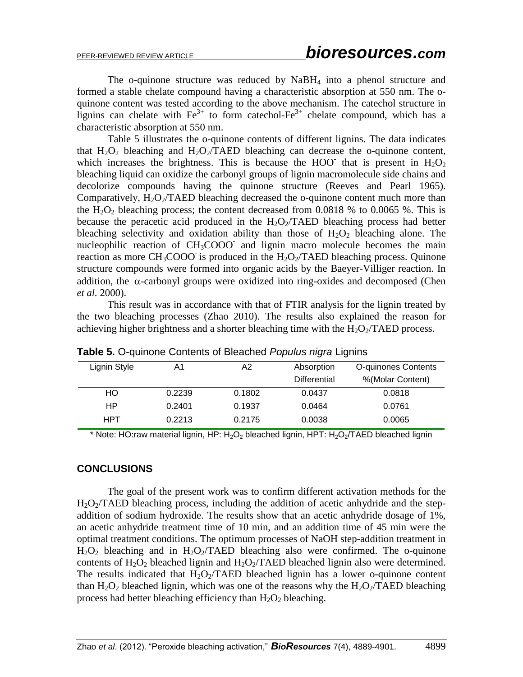The o-quinone structure was reduced by NaBH<sub>4</sub> into a phenol structure and formed a stable chelate compound having a characteristic absorption at 550 nm. The oquinone content was tested according to the above mechanism. The catechol structure in lignins can chelate with  $Fe^{3+}$  to form catechol- $Fe^{3+}$  chelate compound, which has a characteristic absorption at 550 nm.

Table 5 illustrates the o-quinone contents of different lignins. The data indicates that  $H_2O_2$  bleaching and  $H_2O_2/TAED$  bleaching can decrease the o-quinone content, which increases the brightness. This is because the HOO that is present in  $H_2O_2$ bleaching liquid can oxidize the carbonyl groups of lignin macromolecule side chains and decolorize compounds having the quinone structure (Reeves and Pearl 1965). Comparatively,  $H_2O_2/TAED$  bleaching decreased the o-quinone content much more than the H<sub>2</sub>O<sub>2</sub> bleaching process; the content decreased from  $0.0818$  % to  $0.0065$  %. This is because the peracetic acid produced in the  $H_2O_2/TAED$  bleaching process had better bleaching selectivity and oxidation ability than those of  $H_2O_2$  bleaching alone. The nucleophilic reaction of CH<sub>3</sub>COOO and lignin macro molecule becomes the main reaction as more  $CH_3COOO$  is produced in the  $H_2O_2/TAED$  bleaching process. Quinone structure compounds were formed into organic acids by the Baeyer-Villiger reaction. In addition, the  $\alpha$ -carbonyl groups were oxidized into ring-oxides and decomposed (Chen *et al.* 2000).

This result was in accordance with that of FTIR analysis for the lignin treated by the two bleaching processes (Zhao 2010). The results also explained the reason for achieving higher brightness and a shorter bleaching time with the  $H_2O_2/TAED$  process.

| Lignin Style | A1     | A2     | Absorption          | O-quinones Contents |
|--------------|--------|--------|---------------------|---------------------|
|              |        |        | <b>Differential</b> | %(Molar Content)    |
| HO           | 0.2239 | 0.1802 | 0.0437              | 0.0818              |
| НP           | 0.2401 | 0.1937 | 0.0464              | 0.0761              |
| HPT          | 0.2213 | 0.2175 | 0.0038              | 0.0065              |

**Table 5.** O-quinone Contents of Bleached *Populus nigra* Lignins

\* Note: HO:raw material lignin, HP: H<sub>2</sub>O<sub>2</sub> bleached lignin, HPT: H<sub>2</sub>O<sub>2</sub>/TAED bleached lignin

### **CONCLUSIONS**

The goal of the present work was to confirm different activation methods for the  $H_2O_2/TAED$  bleaching process, including the addition of acetic anhydride and the stepaddition of sodium hydroxide. The results show that an acetic anhydride dosage of 1%, an acetic anhydride treatment time of 10 min, and an addition time of 45 min were the optimal treatment conditions. The optimum processes of NaOH step-addition treatment in  $H_2O_2$  bleaching and in  $H_2O_2/TAED$  bleaching also were confirmed. The o-quinone contents of  $H_2O_2$  bleached lignin and  $H_2O_2/TAED$  bleached lignin also were determined. The results indicated that  $H_2O_2/TAED$  bleached lignin has a lower o-quinone content than  $H_2O_2$  bleached lignin, which was one of the reasons why the  $H_2O_2/TAED$  bleaching process had better bleaching efficiency than  $H_2O_2$  bleaching.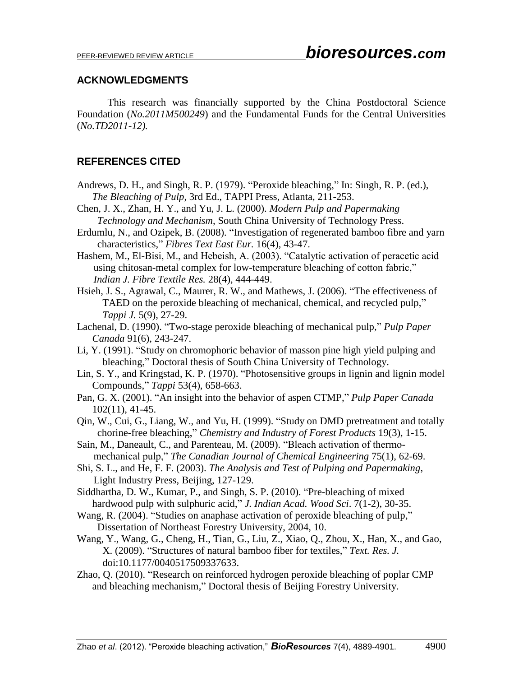### **ACKNOWLEDGMENTS**

This research was financially supported by the China Postdoctoral Science Foundation (*No.2011M500249*) and the Fundamental Funds for the Central Universities (*No.TD2011-12).*

# **REFERENCES CITED**

- Andrews, D. H., and Singh, R. P. (1979). "Peroxide bleaching," In: Singh, R. P. (ed.), *The Bleaching of Pulp*, 3rd Ed., TAPPI Press, Atlanta, 211-253.
- Chen, J. X., Zhan, H. Y., and Yu, J. L. (2000). *Modern Pulp and Papermaking Technology and Mechanism*, South China University of Technology Press.
- Erdumlu, N., and Ozipek, B. (2008). "Investigation of regenerated bamboo fibre and yarn characteristics," *Fibres Text East Eur.* 16(4), 43-47.
- Hashem, M., El-Bisi, M., and Hebeish, A. (2003). "Catalytic activation of peracetic acid using chitosan-metal complex for low-temperature bleaching of cotton fabric," *Indian J. Fibre Textile Res.* 28(4), 444-449.
- Hsieh, J. S., Agrawal, C., Maurer, R. W., and Mathews, J. (2006). "The effectiveness of TAED on the peroxide bleaching of mechanical, chemical, and recycled pulp," *Tappi J.* 5(9), 27-29.
- Lachenal, D. (1990). "Two-stage peroxide bleaching of mechanical pulp," *Pulp Paper Canada* 91(6), 243-247.
- Li, Y. (1991). "Study on chromophoric behavior of masson pine high yield pulping and bleaching," Doctoral thesis of South China University of Technology.
- Lin, S. Y., and Kringstad, K. P. (1970). "Photosensitive groups in lignin and lignin model Compounds," *Tappi* 53(4), 658-663.
- Pan, G. X. (2001). "An insight into the behavior of aspen CTMP," *Pulp Paper Canada* 102(11), 41-45.
- Qin, W., Cui, G., Liang, W., and Yu, H. (1999). "Study on DMD pretreatment and totally chorine-free bleaching," *Chemistry and Industry of Forest Products* 19(3), 1-15.
- Sain, M., Daneault, C., and Parenteau, M. (2009). "Bleach activation of thermomechanical pulp," *The Canadian Journal of Chemical Engineering* 75(1), 62-69.
- Shi, S. L., and He, F. F. (2003). *The Analysis and Test of Pulping and Papermaking*, Light Industry Press, Beijing, 127-129.
- Siddhartha, D. W., Kumar, P., and Singh, S. P. (2010). "Pre-bleaching of mixed hardwood pulp with sulphuric acid," *J. Indian Acad. Wood Sci*. 7(1-2), 30-35.
- Wang, R. (2004). "Studies on anaphase activation of peroxide bleaching of pulp," Dissertation of Northeast Forestry University, 2004, 10.
- Wang, Y., Wang, G., Cheng, H., Tian, G., Liu, Z., Xiao, Q., Zhou, X., Han, X., and Gao, X. (2009). "Structures of natural bamboo fiber for textiles," *Text. Res. J.* doi:10.1177/0040517509337633.
- Zhao, Q. (2010). "Research on reinforced hydrogen peroxide bleaching of poplar CMP and bleaching mechanism," Doctoral thesis of Beijing Forestry University.